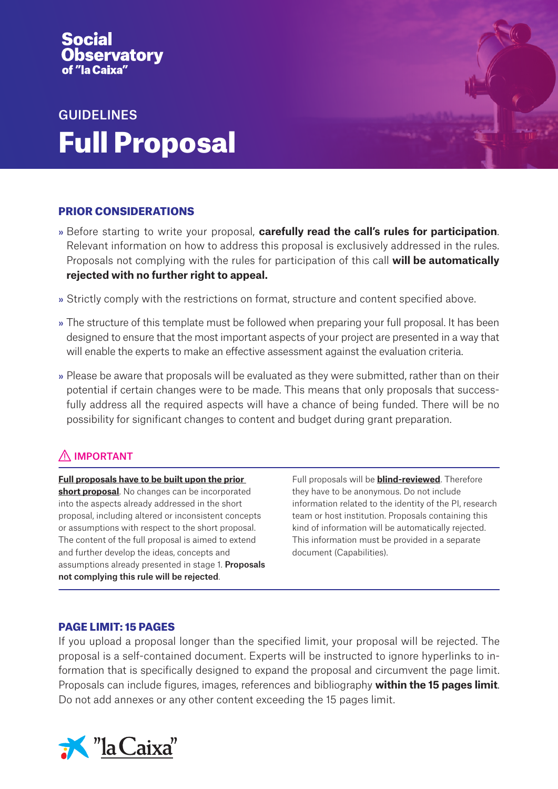# vatory

# GUIDELINES Full Proposal

# PRIOR CONSIDERATIONS

- » Before starting to write your proposal, **carefully read the call's rules for participation**. Relevant information on how to address this proposal is exclusively addressed in the rules. Proposals not complying with the rules for participation of this call **will be automatically rejected with no further right to appeal.**
- » Strictly comply with the restrictions on format, structure and content specified above.
- » The structure of this template must be followed when preparing your full proposal. It has been designed to ensure that the most important aspects of your project are presented in a way that will enable the experts to make an effective assessment against the evaluation criteria.
- » Please be aware that proposals will be evaluated as they were submitted, rather than on their potential if certain changes were to be made. This means that only proposals that successfully address all the required aspects will have a chance of being funded. There will be no possibility for significant changes to content and budget during grant preparation.

# $\bigwedge$  IMPORTANT

**Full proposals have to be built upon the prior short proposal**. No changes can be incorporated into the aspects already addressed in the short proposal, including altered or inconsistent concepts or assumptions with respect to the short proposal. The content of the full proposal is aimed to extend and further develop the ideas, concepts and assumptions already presented in stage 1. Proposals not complying this rule will be rejected.

Full proposals will be **blind-reviewed**. Therefore they have to be anonymous. Do not include information related to the identity of the PI, research team or host institution. Proposals containing this kind of information will be automatically rejected. This information must be provided in a separate document (Capabilities).

## PAGE LIMIT: 15 PAGES

If you upload a proposal longer than the specified limit, your proposal will be rejected. The proposal is a self-contained document. Experts will be instructed to ignore hyperlinks to information that is specifically designed to expand the proposal and circumvent the page limit. Proposals can include figures, images, references and bibliography **within the 15 pages limit**. Do not add annexes or any other content exceeding the 15 pages limit.